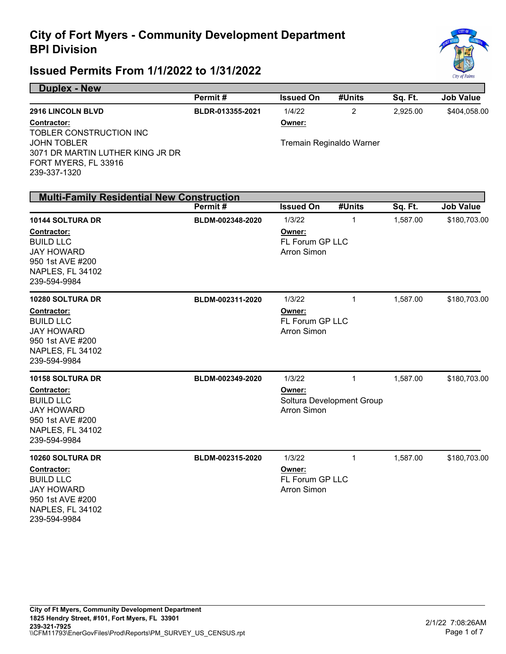

#### **Issued Permits From 1/1/2022 to 1/31/2022**

**Duplex - New** 

950 1st AVE #200 NAPLES, FL 34102 239-594-9984

|                                                                                                                                                               | Permit#          | <b>Issued On</b>                                          | #Units                                     | Sq. Ft.  | <b>Job Value</b> |
|---------------------------------------------------------------------------------------------------------------------------------------------------------------|------------------|-----------------------------------------------------------|--------------------------------------------|----------|------------------|
| 2916 LINCOLN BLVD<br>Contractor:<br>TOBLER CONSTRUCTION INC<br><b>JOHN TOBLER</b><br>3071 DR MARTIN LUTHER KING JR DR<br>FORT MYERS, FL 33916<br>239-337-1320 | BLDR-013355-2021 | 1/4/22<br>Owner:                                          | $\overline{2}$<br>Tremain Reginaldo Warner | 2,925.00 | \$404,058.00     |
| <b>Multi-Family Residential New Construction</b>                                                                                                              |                  |                                                           |                                            |          |                  |
|                                                                                                                                                               | Permit#          | <b>Issued On</b>                                          | #Units                                     | Sq. Ft.  | <b>Job Value</b> |
| 10144 SOLTURA DR<br>Contractor:<br><b>BUILD LLC</b><br><b>JAY HOWARD</b><br>950 1st AVE #200<br><b>NAPLES, FL 34102</b><br>239-594-9984                       | BLDM-002348-2020 | 1/3/22<br>Owner:<br>FL Forum GP LLC<br><b>Arron Simon</b> | 1                                          | 1,587.00 | \$180,703.00     |
| 10280 SOLTURA DR<br><b>Contractor:</b><br><b>BUILD LLC</b><br><b>JAY HOWARD</b><br>950 1st AVE #200<br>NAPLES, FL 34102<br>239-594-9984                       | BLDM-002311-2020 | 1/3/22<br>Owner:<br>FL Forum GP LLC<br><b>Arron Simon</b> | $\mathbf{1}$                               | 1,587.00 | \$180,703.00     |
| <b>10158 SOLTURA DR</b><br>Contractor:<br><b>BUILD LLC</b><br><b>JAY HOWARD</b><br>950 1st AVE #200<br>NAPLES, FL 34102<br>239-594-9984                       | BLDM-002349-2020 | 1/3/22<br>Owner:<br>Arron Simon                           | $\mathbf{1}$<br>Soltura Development Group  | 1,587.00 | \$180,703.00     |
| <b>10260 SOLTURA DR</b><br>Contractor:<br><b>BUILD LLC</b><br><b>JAY HOWARD</b>                                                                               | BLDM-002315-2020 | 1/3/22<br>Owner:<br>FL Forum GP LLC<br><b>Arron Simon</b> | $\mathbf{1}$                               | 1,587.00 | \$180,703.00     |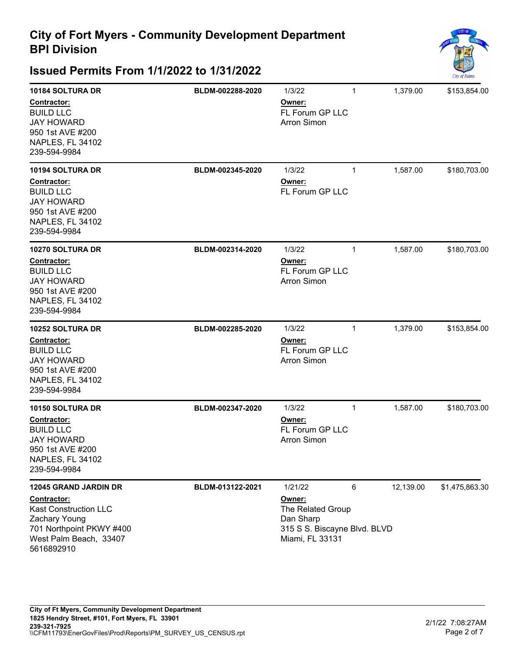

| 10184 SOLTURA DR<br>Contractor:<br><b>BUILD LLC</b><br><b>JAY HOWARD</b><br>950 1st AVE #200<br>NAPLES, FL 34102<br>239-594-9984                                 | BLDM-002288-2020 | 1/3/22<br>Owner:<br>FL Forum GP LLC<br><b>Arron Simon</b>                                              | 1            | 1,379.00  | \$153,854.00   |
|------------------------------------------------------------------------------------------------------------------------------------------------------------------|------------------|--------------------------------------------------------------------------------------------------------|--------------|-----------|----------------|
| 10194 SOLTURA DR<br>Contractor:<br><b>BUILD LLC</b><br><b>JAY HOWARD</b><br>950 1st AVE #200<br>NAPLES, FL 34102<br>239-594-9984                                 | BLDM-002345-2020 | 1/3/22<br>Owner:<br><b>FL Forum GP LLC</b>                                                             | $\mathbf{1}$ | 1,587.00  | \$180,703.00   |
| 10270 SOLTURA DR<br>Contractor:<br><b>BUILD LLC</b><br><b>JAY HOWARD</b><br>950 1st AVE #200<br>NAPLES, FL 34102<br>239-594-9984                                 | BLDM-002314-2020 | 1/3/22<br>Owner:<br>FL Forum GP LLC<br><b>Arron Simon</b>                                              | $\mathbf{1}$ | 1,587.00  | \$180,703.00   |
| 10252 SOLTURA DR<br>Contractor:<br><b>BUILD LLC</b><br><b>JAY HOWARD</b><br>950 1st AVE #200<br>NAPLES, FL 34102<br>239-594-9984                                 | BLDM-002285-2020 | 1/3/22<br>Owner:<br>FL Forum GP LLC<br><b>Arron Simon</b>                                              | 1            | 1,379.00  | \$153,854.00   |
| 10150 SOLTURA DR<br>Contractor:<br><b>BUILD LLC</b><br><b>JAY HOWARD</b><br>950 1st AVE #200<br>NAPLES, FL 34102<br>239-594-9984                                 | BLDM-002347-2020 | 1/3/22<br>Owner:<br>FL Forum GP LLC<br><b>Arron Simon</b>                                              | 1            | 1,587.00  | \$180,703.00   |
| 12045 GRAND JARDIN DR<br><b>Contractor:</b><br><b>Kast Construction LLC</b><br>Zachary Young<br>701 Northpoint PKWY #400<br>West Palm Beach, 33407<br>5616892910 | BLDM-013122-2021 | 1/21/22<br>Owner:<br>The Related Group<br>Dan Sharp<br>315 S S. Biscayne Blvd. BLVD<br>Miami, FL 33131 | 6            | 12,139.00 | \$1,475,863.30 |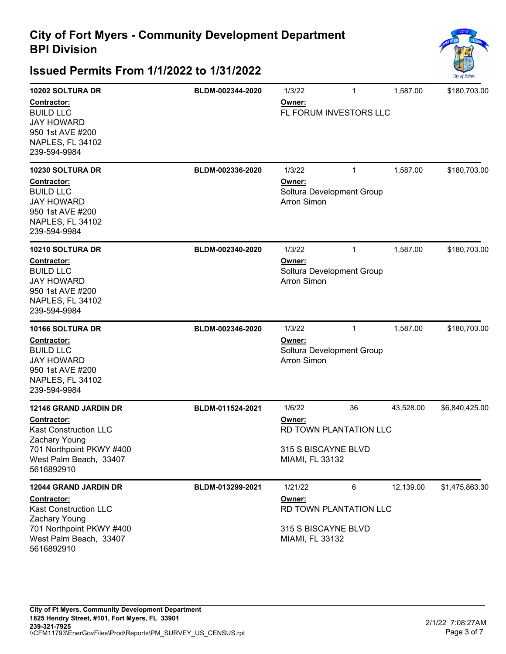

| 10202 SOLTURA DR                                                                                                    | BLDM-002344-2020 | 1/3/22                                                    | $\mathbf{1}$ | 1,587.00  | \$180,703.00   |
|---------------------------------------------------------------------------------------------------------------------|------------------|-----------------------------------------------------------|--------------|-----------|----------------|
| Contractor:<br><b>BUILD LLC</b><br><b>JAY HOWARD</b><br>950 1st AVE #200<br>NAPLES, FL 34102<br>239-594-9984        |                  | Owner:<br>FL FORUM INVESTORS LLC                          |              |           |                |
| 10230 SOLTURA DR                                                                                                    | BLDM-002336-2020 | 1/3/22                                                    | $\mathbf{1}$ | 1,587.00  | \$180,703.00   |
| <b>Contractor:</b><br><b>BUILD LLC</b><br><b>JAY HOWARD</b><br>950 1st AVE #200<br>NAPLES, FL 34102<br>239-594-9984 |                  | Owner:<br>Soltura Development Group<br>Arron Simon        |              |           |                |
| 10210 SOLTURA DR                                                                                                    | BLDM-002340-2020 | 1/3/22                                                    | $\mathbf{1}$ | 1,587.00  | \$180,703.00   |
| Contractor:<br><b>BUILD LLC</b><br><b>JAY HOWARD</b><br>950 1st AVE #200<br>NAPLES, FL 34102<br>239-594-9984        |                  | Owner:<br>Soltura Development Group<br><b>Arron Simon</b> |              |           |                |
| 10166 SOLTURA DR                                                                                                    | BLDM-002346-2020 | 1/3/22                                                    | 1            | 1,587.00  | \$180,703.00   |
| Contractor:<br><b>BUILD LLC</b><br><b>JAY HOWARD</b><br>950 1st AVE #200<br>NAPLES, FL 34102<br>239-594-9984        |                  | Owner:<br>Soltura Development Group<br><b>Arron Simon</b> |              |           |                |
| <b>12146 GRAND JARDIN DR</b>                                                                                        | BLDM-011524-2021 | 1/6/22                                                    | 36           | 43,528.00 | \$6,840,425.00 |
| <b>Contractor:</b><br><b>Kast Construction LLC</b><br>Zachary Young                                                 |                  | Owner:<br>RD TOWN PLANTATION LLC                          |              |           |                |
| 701 Northpoint PKWY #400<br>West Palm Beach, 33407<br>5616892910                                                    |                  | 315 S BISCAYNE BLVD<br>MIAMI, FL 33132                    |              |           |                |
| 12044 GRAND JARDIN DR                                                                                               | BLDM-013299-2021 | 1/21/22                                                   | 6            | 12,139.00 | \$1,475,863.30 |
| Contractor:<br><b>Kast Construction LLC</b><br>Zachary Young                                                        |                  | Owner:<br>RD TOWN PLANTATION LLC                          |              |           |                |
| 701 Northpoint PKWY #400<br>West Palm Beach, 33407<br>5616892910                                                    |                  | 315 S BISCAYNE BLVD<br>MIAMI, FL 33132                    |              |           |                |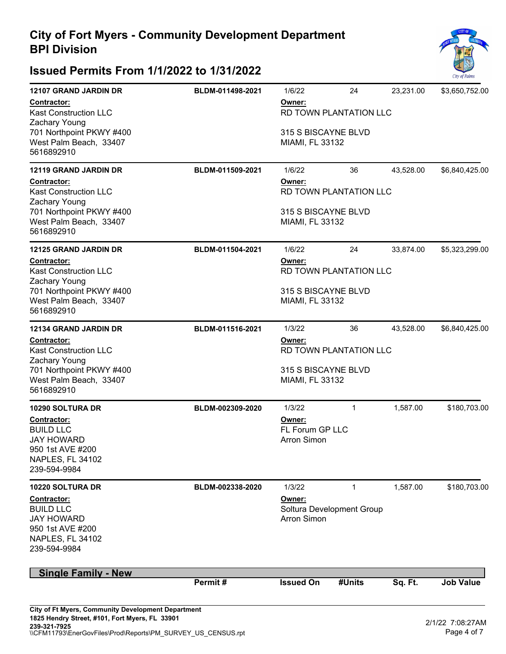### **Issued Permits From 1/1/2022 to 1/31/2022**



| 12107 GRAND JARDIN DR                                                                                               | BLDM-011498-2021 | 1/6/22                                          | 24                        | 23.231.00 | \$3,650,752.00   |  |
|---------------------------------------------------------------------------------------------------------------------|------------------|-------------------------------------------------|---------------------------|-----------|------------------|--|
| Contractor:<br><b>Kast Construction LLC</b><br>Zachary Young                                                        |                  | Owner:<br>RD TOWN PLANTATION LLC                |                           |           |                  |  |
| 701 Northpoint PKWY #400<br>West Palm Beach, 33407<br>5616892910                                                    |                  | 315 S BISCAYNE BLVD<br>MIAMI, FL 33132          |                           |           |                  |  |
| <b>12119 GRAND JARDIN DR</b>                                                                                        | BLDM-011509-2021 | 1/6/22                                          | 36                        | 43,528.00 | \$6,840,425.00   |  |
| Contractor:<br><b>Kast Construction LLC</b><br>Zachary Young                                                        |                  | Owner:<br>RD TOWN PLANTATION LLC                |                           |           |                  |  |
| 701 Northpoint PKWY #400<br>West Palm Beach, 33407<br>5616892910                                                    |                  | 315 S BISCAYNE BLVD<br>MIAMI, FL 33132          |                           |           |                  |  |
| <b>12125 GRAND JARDIN DR</b>                                                                                        | BLDM-011504-2021 | 1/6/22                                          | 24                        | 33,874.00 | \$5,323,299.00   |  |
| Contractor:<br><b>Kast Construction LLC</b><br>Zachary Young                                                        |                  | Owner:                                          | RD TOWN PLANTATION LLC    |           |                  |  |
| 701 Northpoint PKWY #400<br>West Palm Beach, 33407<br>5616892910                                                    |                  | 315 S BISCAYNE BLVD<br>MIAMI, FL 33132          |                           |           |                  |  |
| <b>12134 GRAND JARDIN DR</b>                                                                                        | BLDM-011516-2021 | 1/3/22                                          | 36                        | 43,528.00 | \$6,840,425.00   |  |
| Contractor:<br><b>Kast Construction LLC</b><br>Zachary Young                                                        |                  | Owner:                                          | RD TOWN PLANTATION LLC    |           |                  |  |
| 701 Northpoint PKWY #400<br>West Palm Beach, 33407<br>5616892910                                                    |                  | 315 S BISCAYNE BLVD<br>MIAMI, FL 33132          |                           |           |                  |  |
| 10290 SOLTURA DR                                                                                                    | BLDM-002309-2020 | 1/3/22                                          | $\mathbf{1}$              | 1,587.00  | \$180,703.00     |  |
| Contractor:<br><b>BUILD LLC</b><br><b>JAY HOWARD</b><br>950 1st AVE #200<br>NAPLES, FL 34102<br>239-594-9984        |                  | Owner:<br>FL Forum GP LLC<br><b>Arron Simon</b> |                           |           |                  |  |
| 10220 SOLTURA DR                                                                                                    | BLDM-002338-2020 | 1/3/22                                          | 1                         | 1,587.00  | \$180,703.00     |  |
| <b>Contractor:</b><br><b>BUILD LLC</b><br><b>JAY HOWARD</b><br>950 1st AVE #200<br>NAPLES, FL 34102<br>239-594-9984 |                  | Owner:<br><b>Arron Simon</b>                    | Soltura Development Group |           |                  |  |
| <b>Single Family - New</b>                                                                                          |                  |                                                 |                           |           |                  |  |
|                                                                                                                     | Permit#          | <b>Issued On</b>                                | #Units                    | Sq. Ft.   | <b>Job Value</b> |  |

\\CFM11793\EnerGovFiles\Prod\Reports\PM\_SURVEY\_US\_CENSUS.rpt **239-321-7925**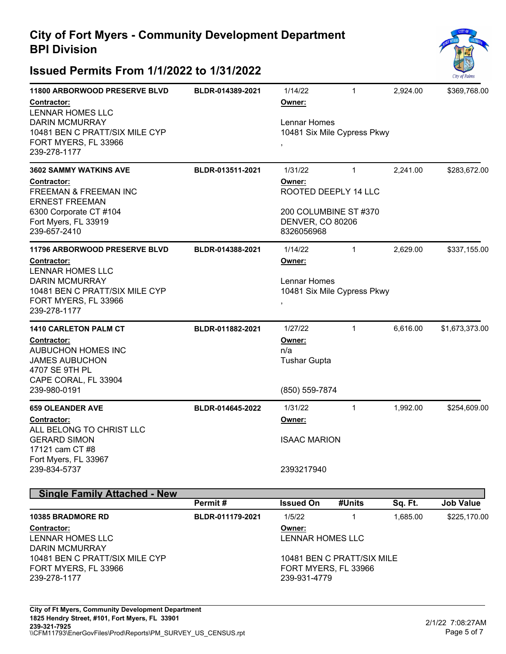

| <b>11800 ARBORWOOD PRESERVE BLVD</b><br>Contractor:<br><b>LENNAR HOMES LLC</b><br><b>DARIN MCMURRAY</b><br>10481 BEN C PRATT/SIX MILE CYP<br>FORT MYERS, FL 33966<br>239-278-1177        | BLDR-014389-2021 | 1/14/22<br>Owner:<br>Lennar Homes<br>10481 Six Mile Cypress Pkwy                                     | 1            | 2,924.00 | \$369,768.00   |
|------------------------------------------------------------------------------------------------------------------------------------------------------------------------------------------|------------------|------------------------------------------------------------------------------------------------------|--------------|----------|----------------|
| <b>3602 SAMMY WATKINS AVE</b><br>Contractor:<br><b>FREEMAN &amp; FREEMAN INC</b><br><b>ERNEST FREEMAN</b><br>6300 Corporate CT #104<br>Fort Myers, FL 33919<br>239-657-2410              | BLDR-013511-2021 | 1/31/22<br>Owner:<br>ROOTED DEEPLY 14 LLC<br>200 COLUMBINE ST #370<br>DENVER, CO 80206<br>8326056968 | $\mathbf{1}$ | 2,241.00 | \$283,672.00   |
| <b>11796 ARBORWOOD PRESERVE BLVD</b><br><b>Contractor:</b><br><b>LENNAR HOMES LLC</b><br><b>DARIN MCMURRAY</b><br>10481 BEN C PRATT/SIX MILE CYP<br>FORT MYERS, FL 33966<br>239-278-1177 | BLDR-014388-2021 | 1/14/22<br>Owner:<br>Lennar Homes<br>10481 Six Mile Cypress Pkwy<br>$\,$                             | 1            | 2,629.00 | \$337,155.00   |
| <b>1410 CARLETON PALM CT</b><br>Contractor:<br><b>AUBUCHON HOMES INC</b><br><b>JAMES AUBUCHON</b><br>4707 SE 9TH PL<br>CAPE CORAL, FL 33904<br>239-980-0191                              | BLDR-011882-2021 | 1/27/22<br>Owner:<br>n/a<br><b>Tushar Gupta</b><br>(850) 559-7874                                    | $\mathbf{1}$ | 6,616.00 | \$1,673,373.00 |
| <b>659 OLEANDER AVE</b><br><b>Contractor:</b><br>ALL BELONG TO CHRIST LLC<br><b>GERARD SIMON</b><br>17121 cam CT #8<br>Fort Myers, FL 33967<br>239-834-5737<br>$\sim$ $\sim$             | BLDR-014645-2022 | 1/31/22<br><u>Owner:</u><br><b>ISAAC MARION</b><br>2393217940                                        | $\mathbf{1}$ | 1,992.00 | \$254,609.00   |

| <b>Single Family Attached - New</b> |                  |                      |                            |          |                  |
|-------------------------------------|------------------|----------------------|----------------------------|----------|------------------|
|                                     | Permit#          | <b>Issued On</b>     | #Units                     | Sq. Ft.  | <b>Job Value</b> |
| <b>10385 BRADMORE RD</b>            | BLDR-011179-2021 | 1/5/22               |                            | 1.685.00 | \$225,170.00     |
| <b>Contractor:</b>                  |                  | Owner:               |                            |          |                  |
| LENNAR HOMES LLC                    |                  | LENNAR HOMES LLC     |                            |          |                  |
| <b>DARIN MCMURRAY</b>               |                  |                      |                            |          |                  |
| 10481 BEN C PRATT/SIX MILE CYP      |                  |                      | 10481 BEN C PRATT/SIX MILE |          |                  |
| FORT MYERS, FL 33966                |                  | FORT MYERS, FL 33966 |                            |          |                  |
| 239-278-1177                        |                  | 239-931-4779         |                            |          |                  |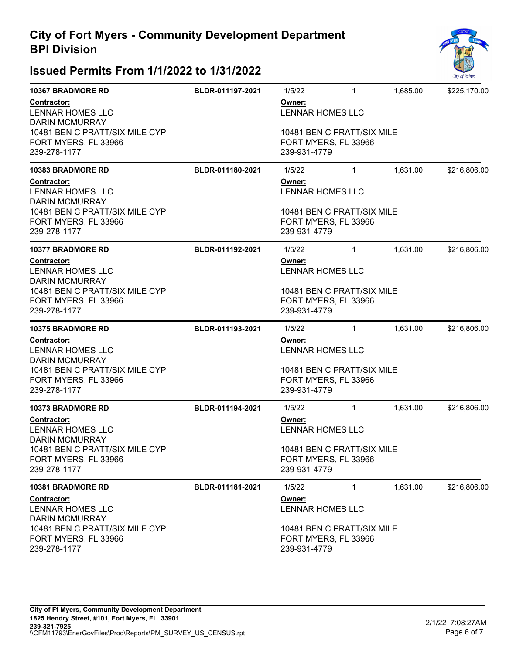| <b>10367 BRADMORE RD</b>                                               | BLDR-011197-2021 | 1/5/22                                                             | $\mathbf{1}$               | 1,685.00 | \$225,170.00 |  |
|------------------------------------------------------------------------|------------------|--------------------------------------------------------------------|----------------------------|----------|--------------|--|
| <b>Contractor:</b><br>LENNAR HOMES LLC<br><b>DARIN MCMURRAY</b>        |                  | Owner:<br><b>LENNAR HOMES LLC</b>                                  |                            |          |              |  |
| 10481 BEN C PRATT/SIX MILE CYP<br>FORT MYERS, FL 33966<br>239-278-1177 |                  | 10481 BEN C PRATT/SIX MILE<br>FORT MYERS, FL 33966<br>239-931-4779 |                            |          |              |  |
| <b>10383 BRADMORE RD</b>                                               | BLDR-011180-2021 | 1/5/22                                                             | $\mathbf{1}$               | 1,631.00 | \$216,806.00 |  |
| <b>Contractor:</b><br>LENNAR HOMES LLC<br><b>DARIN MCMURRAY</b>        |                  | Owner:<br><b>LENNAR HOMES LLC</b>                                  |                            |          |              |  |
| 10481 BEN C PRATT/SIX MILE CYP<br>FORT MYERS, FL 33966<br>239-278-1177 |                  | 10481 BEN C PRATT/SIX MILE<br>FORT MYERS, FL 33966<br>239-931-4779 |                            |          |              |  |
| <b>10377 BRADMORE RD</b>                                               | BLDR-011192-2021 | 1/5/22                                                             | $\mathbf{1}$               | 1,631.00 | \$216,806.00 |  |
| <b>Contractor:</b><br>LENNAR HOMES LLC<br><b>DARIN MCMURRAY</b>        |                  | Owner:<br><b>LENNAR HOMES LLC</b>                                  |                            |          |              |  |
| 10481 BEN C PRATT/SIX MILE CYP<br>FORT MYERS, FL 33966<br>239-278-1177 |                  | 10481 BEN C PRATT/SIX MILE<br>FORT MYERS, FL 33966<br>239-931-4779 |                            |          |              |  |
| <b>10375 BRADMORE RD</b>                                               | BLDR-011193-2021 | 1/5/22                                                             | $\mathbf{1}$               | 1,631.00 | \$216,806.00 |  |
| Contractor:<br>LENNAR HOMES LLC<br><b>DARIN MCMURRAY</b>               |                  | Owner:<br><b>LENNAR HOMES LLC</b>                                  |                            |          |              |  |
| 10481 BEN C PRATT/SIX MILE CYP<br>FORT MYERS, FL 33966<br>239-278-1177 |                  | 10481 BEN C PRATT/SIX MILE<br>FORT MYERS, FL 33966<br>239-931-4779 |                            |          |              |  |
| <b>10373 BRADMORE RD</b>                                               | BLDR-011194-2021 | 1/5/22                                                             | $\mathbf{1}$               | 1,631.00 | \$216,806.00 |  |
| Contractor:<br>LENNAR HOMES LLC<br><b>DARIN MCMURRAY</b>               |                  | Owner:<br>LENNAR HOMES LLC                                         |                            |          |              |  |
| 10481 BEN C PRATT/SIX MILE CYP<br>FORT MYERS, FL 33966<br>239-278-1177 |                  | 10481 BEN C PRATT/SIX MILE<br>FORT MYERS, FL 33966<br>239-931-4779 |                            |          |              |  |
| <b>10381 BRADMORE RD</b>                                               | BLDR-011181-2021 | 1/5/22                                                             | $\mathbf{1}$               | 1,631.00 | \$216,806.00 |  |
| Contractor:<br><b>LENNAR HOMES LLC</b><br><b>DARIN MCMURRAY</b>        |                  | Owner:<br><b>LENNAR HOMES LLC</b>                                  |                            |          |              |  |
| 10481 BEN C PRATT/SIX MILE CYP<br>FORT MYERS, FL 33966<br>239-278-1177 |                  | FORT MYERS, FL 33966<br>239-931-4779                               | 10481 BEN C PRATT/SIX MILE |          |              |  |